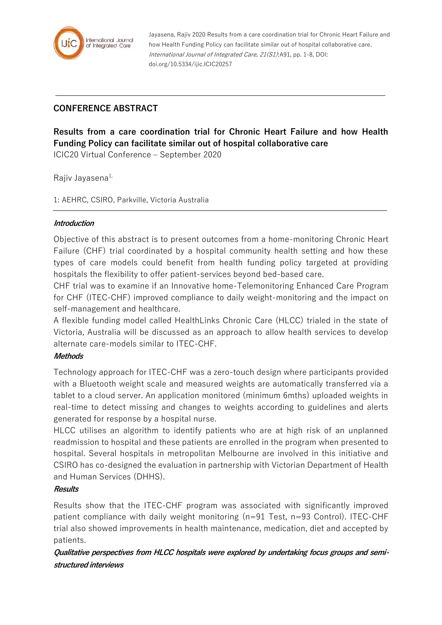

Jayasena, Rajiv 2020 Results from a care coordination trial for Chronic Heart Failure and how Health Funding Policy can facilitate similar out of hospital collaborative care. International Journal of Integrated Care, 21(S1):A91, pp. 1-8, DOI: doi.org/10.5334/ijic.ICIC20257

# **CONFERENCE ABSTRACT**

# **Results from a care coordination trial for Chronic Heart Failure and how Health Funding Policy can facilitate similar out of hospital collaborative care**

ICIC20 Virtual Conference – September 2020

Rajiv Javasena<sup>1,</sup>

1: AEHRC, CSIRO, Parkville, Victoria Australia

#### **Introduction**

Objective of this abstract is to present outcomes from a home-monitoring Chronic Heart Failure (CHF) trial coordinated by a hospital community health setting and how these types of care models could benefit from health funding policy targeted at providing hospitals the flexibility to offer patient-services beyond bed-based care.

CHF trial was to examine if an Innovative home-Telemonitoring Enhanced Care Program for CHF (ITEC-CHF) improved compliance to daily weight-monitoring and the impact on self-management and healthcare.

A flexible funding model called HealthLinks Chronic Care (HLCC) trialed in the state of Victoria, Australia will be discussed as an approach to allow health services to develop alternate care-models similar to ITEC-CHF.

### **Methods**

Technology approach for ITEC-CHF was a zero-touch design where participants provided with a Bluetooth weight scale and measured weights are automatically transferred via a tablet to a cloud server. An application monitored (minimum 6mths) uploaded weights in real-time to detect missing and changes to weights according to guidelines and alerts generated for response by a hospital nurse.

HLCC utilises an algorithm to identify patients who are at high risk of an unplanned readmission to hospital and these patients are enrolled in the program when presented to hospital. Several hospitals in metropolitan Melbourne are involved in this initiative and CSIRO has co-designed the evaluation in partnership with Victorian Department of Health and Human Services (DHHS).

### **Results**

Results show that the ITEC-CHF program was associated with significantly improved patient compliance with daily weight monitoring (n=91 Test, n=93 Control). ITEC-CHF trial also showed improvements in health maintenance, medication, diet and accepted by patients.

**Qualitative perspectives from HLCC hospitals were explored by undertaking focus groups and semistructured interviews**